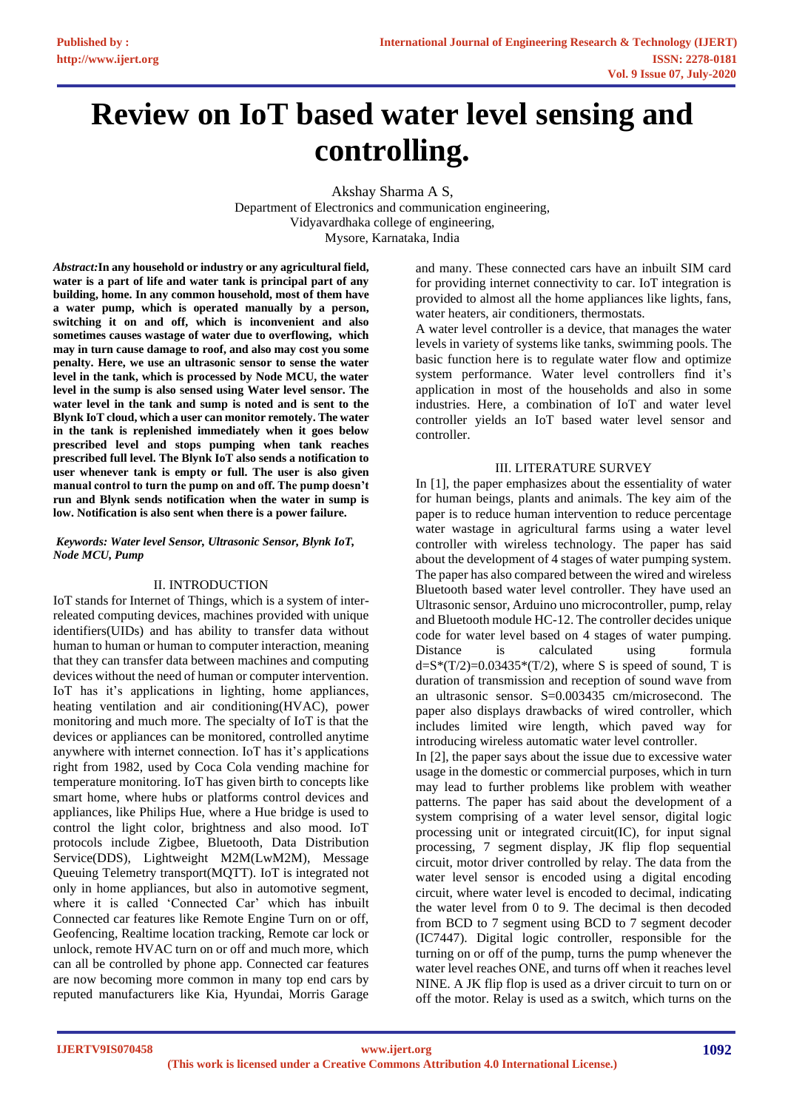# **Review on IoT based water level sensing and controlling.**

Akshay Sharma A S, Department of Electronics and communication engineering, Vidyavardhaka college of engineering, Mysore, Karnataka, India

*Abstract:***In any household or industry or any agricultural field, water is a part of life and water tank is principal part of any building, home. In any common household, most of them have a water pump, which is operated manually by a person, switching it on and off, which is inconvenient and also sometimes causes wastage of water due to overflowing, which may in turn cause damage to roof, and also may cost you some penalty. Here, we use an ultrasonic sensor to sense the water level in the tank, which is processed by Node MCU, the water level in the sump is also sensed using Water level sensor. The water level in the tank and sump is noted and is sent to the Blynk IoT cloud, which a user can monitor remotely. The water in the tank is replenished immediately when it goes below prescribed level and stops pumping when tank reaches prescribed full level. The Blynk IoT also sends a notification to user whenever tank is empty or full. The user is also given manual control to turn the pump on and off. The pump doesn't run and Blynk sends notification when the water in sump is low. Notification is also sent when there is a power failure.**

#### *Keywords: Water level Sensor, Ultrasonic Sensor, Blynk IoT, Node MCU, Pump*

## II. INTRODUCTION

IoT stands for Internet of Things, which is a system of interreleated computing devices, machines provided with unique identifiers(UIDs) and has ability to transfer data without human to human or human to computer interaction, meaning that they can transfer data between machines and computing devices without the need of human or computer intervention. IoT has it's applications in lighting, home appliances, heating ventilation and air conditioning(HVAC), power monitoring and much more. The specialty of IoT is that the devices or appliances can be monitored, controlled anytime anywhere with internet connection. IoT has it's applications right from 1982, used by Coca Cola vending machine for temperature monitoring. IoT has given birth to concepts like smart home, where hubs or platforms control devices and appliances, like Philips Hue, where a Hue bridge is used to control the light color, brightness and also mood. IoT protocols include Zigbee, Bluetooth, Data Distribution Service(DDS), Lightweight M2M(LwM2M), Message Queuing Telemetry transport(MQTT). IoT is integrated not only in home appliances, but also in automotive segment, where it is called 'Connected Car' which has inbuilt Connected car features like Remote Engine Turn on or off, Geofencing, Realtime location tracking, Remote car lock or unlock, remote HVAC turn on or off and much more, which can all be controlled by phone app. Connected car features are now becoming more common in many top end cars by reputed manufacturers like Kia, Hyundai, Morris Garage

and many. These connected cars have an inbuilt SIM card for providing internet connectivity to car. IoT integration is provided to almost all the home appliances like lights, fans, water heaters, air conditioners, thermostats.

A water level controller is a device, that manages the water levels in variety of systems like tanks, swimming pools. The basic function here is to regulate water flow and optimize system performance. Water level controllers find it's application in most of the households and also in some industries. Here, a combination of IoT and water level controller yields an IoT based water level sensor and controller.

## III. LITERATURE SURVEY

In [1], the paper emphasizes about the essentiality of water for human beings, plants and animals. The key aim of the paper is to reduce human intervention to reduce percentage water wastage in agricultural farms using a water level controller with wireless technology. The paper has said about the development of 4 stages of water pumping system. The paper has also compared between the wired and wireless Bluetooth based water level controller. They have used an Ultrasonic sensor, Arduino uno microcontroller, pump, relay and Bluetooth module HC-12. The controller decides unique code for water level based on 4 stages of water pumping. Distance is calculated using formula  $d=S^*(T/2)=0.03435^*(T/2)$ , where S is speed of sound, T is duration of transmission and reception of sound wave from an ultrasonic sensor. S=0.003435 cm/microsecond. The paper also displays drawbacks of wired controller, which includes limited wire length, which paved way for introducing wireless automatic water level controller.

In [2], the paper says about the issue due to excessive water usage in the domestic or commercial purposes, which in turn may lead to further problems like problem with weather patterns. The paper has said about the development of a system comprising of a water level sensor, digital logic processing unit or integrated circuit(IC), for input signal processing, 7 segment display, JK flip flop sequential circuit, motor driver controlled by relay. The data from the water level sensor is encoded using a digital encoding circuit, where water level is encoded to decimal, indicating the water level from 0 to 9. The decimal is then decoded from BCD to 7 segment using BCD to 7 segment decoder (IC7447). Digital logic controller, responsible for the turning on or off of the pump, turns the pump whenever the water level reaches ONE, and turns off when it reaches level NINE. A JK flip flop is used as a driver circuit to turn on or off the motor. Relay is used as a switch, which turns on the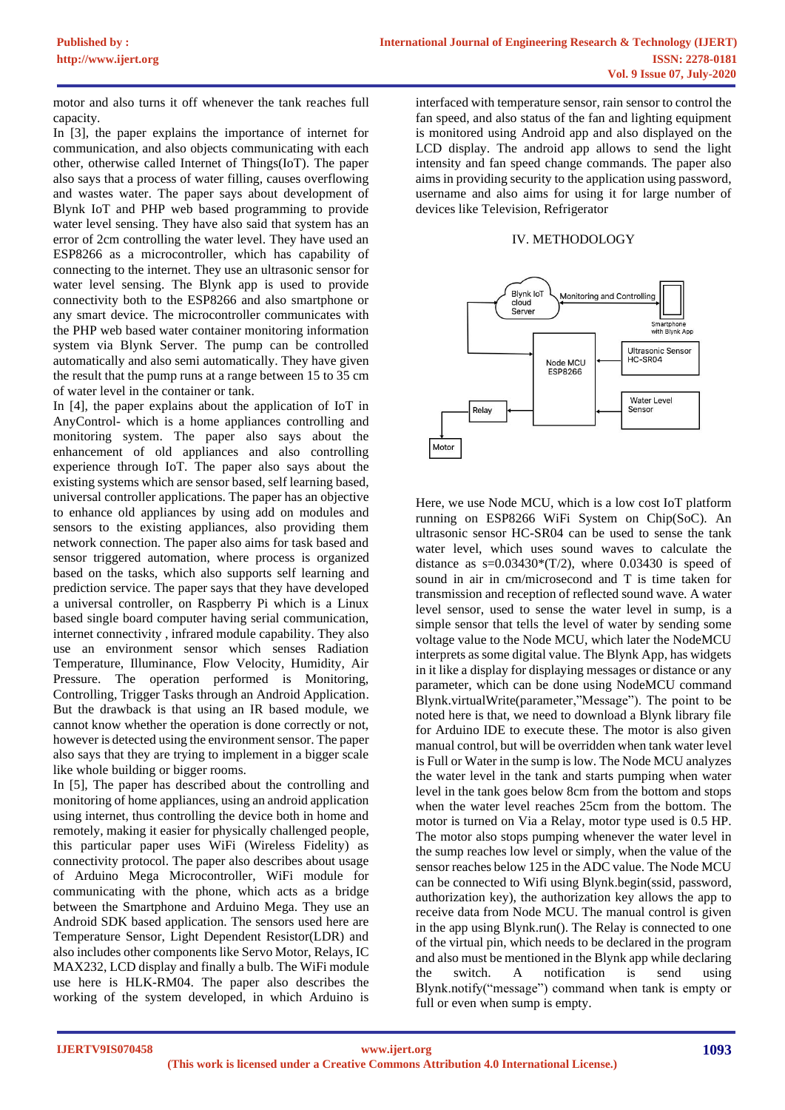motor and also turns it off whenever the tank reaches full capacity.

In [3], the paper explains the importance of internet for communication, and also objects communicating with each other, otherwise called Internet of Things(IoT). The paper also says that a process of water filling, causes overflowing and wastes water. The paper says about development of Blynk IoT and PHP web based programming to provide water level sensing. They have also said that system has an error of 2cm controlling the water level. They have used an ESP8266 as a microcontroller, which has capability of connecting to the internet. They use an ultrasonic sensor for water level sensing. The Blynk app is used to provide connectivity both to the ESP8266 and also smartphone or any smart device. The microcontroller communicates with the PHP web based water container monitoring information system via Blynk Server. The pump can be controlled automatically and also semi automatically. They have given the result that the pump runs at a range between 15 to 35 cm of water level in the container or tank.

In [4], the paper explains about the application of IoT in AnyControl- which is a home appliances controlling and monitoring system. The paper also says about the enhancement of old appliances and also controlling experience through IoT. The paper also says about the existing systems which are sensor based, self learning based, universal controller applications. The paper has an objective to enhance old appliances by using add on modules and sensors to the existing appliances, also providing them network connection. The paper also aims for task based and sensor triggered automation, where process is organized based on the tasks, which also supports self learning and prediction service. The paper says that they have developed a universal controller, on Raspberry Pi which is a Linux based single board computer having serial communication, internet connectivity , infrared module capability. They also use an environment sensor which senses Radiation Temperature, Illuminance, Flow Velocity, Humidity, Air Pressure. The operation performed is Monitoring, Controlling, Trigger Tasks through an Android Application. But the drawback is that using an IR based module, we cannot know whether the operation is done correctly or not, however is detected using the environment sensor. The paper also says that they are trying to implement in a bigger scale like whole building or bigger rooms.

In [5], The paper has described about the controlling and monitoring of home appliances, using an android application using internet, thus controlling the device both in home and remotely, making it easier for physically challenged people, this particular paper uses WiFi (Wireless Fidelity) as connectivity protocol. The paper also describes about usage of Arduino Mega Microcontroller, WiFi module for communicating with the phone, which acts as a bridge between the Smartphone and Arduino Mega. They use an Android SDK based application. The sensors used here are Temperature Sensor, Light Dependent Resistor(LDR) and also includes other components like Servo Motor, Relays, IC MAX232, LCD display and finally a bulb. The WiFi module use here is HLK-RM04. The paper also describes the working of the system developed, in which Arduino is

interfaced with temperature sensor, rain sensor to control the fan speed, and also status of the fan and lighting equipment is monitored using Android app and also displayed on the LCD display. The android app allows to send the light intensity and fan speed change commands. The paper also aims in providing security to the application using password, username and also aims for using it for large number of devices like Television, Refrigerator

## IV. METHODOLOGY



Here, we use Node MCU, which is a low cost IoT platform running on ESP8266 WiFi System on Chip(SoC). An ultrasonic sensor HC-SR04 can be used to sense the tank water level, which uses sound waves to calculate the distance as  $s=0.03430*(T/2)$ , where 0.03430 is speed of sound in air in cm/microsecond and T is time taken for transmission and reception of reflected sound wave. A water level sensor, used to sense the water level in sump, is a simple sensor that tells the level of water by sending some voltage value to the Node MCU, which later the NodeMCU interprets as some digital value. The Blynk App, has widgets in it like a display for displaying messages or distance or any parameter, which can be done using NodeMCU command Blynk.virtualWrite(parameter,"Message"). The point to be noted here is that, we need to download a Blynk library file for Arduino IDE to execute these. The motor is also given manual control, but will be overridden when tank water level is Full or Water in the sump is low. The Node MCU analyzes the water level in the tank and starts pumping when water level in the tank goes below 8cm from the bottom and stops when the water level reaches 25cm from the bottom. The motor is turned on Via a Relay, motor type used is 0.5 HP. The motor also stops pumping whenever the water level in the sump reaches low level or simply, when the value of the sensor reaches below 125 in the ADC value. The Node MCU can be connected to Wifi using Blynk.begin(ssid, password, authorization key), the authorization key allows the app to receive data from Node MCU. The manual control is given in the app using Blynk.run(). The Relay is connected to one of the virtual pin, which needs to be declared in the program and also must be mentioned in the Blynk app while declaring the switch. A notification is send using Blynk.notify("message") command when tank is empty or full or even when sump is empty.